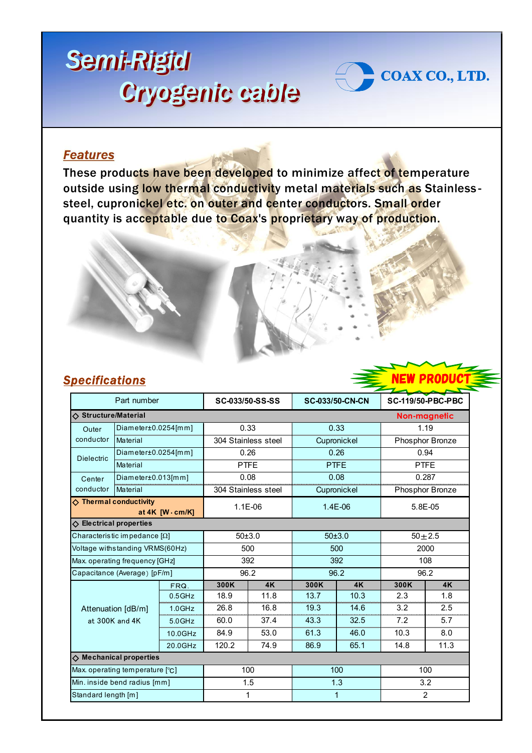## *Semi-Rigid Semi-Rigid Cryogenic cable Cryogenic cable*



These products have been developed to minimize affect of temperature outside using low thermal conductivity metal materials such as Stainlesssteel, cupronickel etc. on outer and center conductors. Small order quantity is acceptable due to Coax's proprietary way of production.



IEW PRODU

COAX CO., LTD.

## *Specifications*

| Part number                                         |                        |           | SC-033/50-SS-SS     |           | <b>SC-033/50-CN-CN</b> |           | <b>SC-119/50-PBC-PBC</b> |           |  |
|-----------------------------------------------------|------------------------|-----------|---------------------|-----------|------------------------|-----------|--------------------------|-----------|--|
| ♦ Structure/Material                                |                        |           |                     |           |                        |           |                          |           |  |
|                                                     |                        |           |                     |           |                        |           | Non-magnetic             |           |  |
| Outer                                               | $Diameter±0.0254$ [mm] |           | 0.33                |           | 0.33                   |           | 1.19                     |           |  |
| conductor                                           | Material               |           | 304 Stainless steel |           | Cupronickel            |           | Phosphor Bronze          |           |  |
| <b>Dielectric</b>                                   | $Diameter±0.0254$ [mm] |           | 0.26                |           | 0.26                   |           | 0.94                     |           |  |
|                                                     | Material               |           | <b>PTFE</b>         |           | <b>PTFE</b>            |           | <b>PTFE</b>              |           |  |
| Center<br>conductor                                 | $Diameter±0.013$ [mm]  |           | 0.08                |           | 0.08                   |           | 0.287                    |           |  |
|                                                     | Material               |           | 304 Stainless steel |           | Cupronickel            |           | Phosphor Bronze          |           |  |
| $\Diamond$ Thermal conductivity<br>at 4K [W · cm/K] |                        |           | $1.1E-06$           |           | $1.4E-06$              |           | $5.8E - 0.5$             |           |  |
| $\diamondsuit$ Electrical properties                |                        |           |                     |           |                        |           |                          |           |  |
| Characteristic impedance $[\Omega]$                 |                        |           | 50±3.0              |           | 50±3.0                 |           | $50 + 2.5$               |           |  |
| Voltage withstanding VRMS(60Hz)                     |                        |           | 500                 |           | 500                    |           | 2000                     |           |  |
| Max. operating frequency [GHz]                      |                        |           | 392                 |           | 392                    |           | 108                      |           |  |
| Capacitance (Average) [pF/m]                        |                        |           | 96.2                |           | 96.2                   |           | 96.2                     |           |  |
| Attenuation [dB/m]<br>at 300K and 4K                |                        | FRQ.      | 300K                | <b>4K</b> | 300K                   | <b>4K</b> | 300K                     | <b>4K</b> |  |
|                                                     |                        | $0.5$ GHz | 18.9                | 11.8      | 13.7                   | 10.3      | 2.3                      | 1.8       |  |
|                                                     |                        | $1.0$ GHz | 26.8                | 16.8      | 19.3                   | 14.6      | 3.2                      | 2.5       |  |
|                                                     |                        | $5.0$ GHz | 60.0                | 37.4      | 43.3                   | 32.5      | 7.2                      | 5.7       |  |
|                                                     |                        | 10.0GHz   | 84.9                | 53.0      | 61.3                   | 46.0      | 10.3                     | 8.0       |  |
|                                                     |                        | 20.0GHz   | 120.2               | 74.9      | 86.9                   | 65.1      | 14.8                     | 11.3      |  |
| $\diamond$ Mechanical properties                    |                        |           |                     |           |                        |           |                          |           |  |
| Max. operating temperature [°C]                     |                        |           | 100                 |           | 100                    |           | 100                      |           |  |
| Min. inside bend radius [mm]                        |                        |           | 1.5                 |           | 1.3                    |           | 3.2                      |           |  |
| Standard length [m]                                 |                        |           | 1                   |           | 1                      |           | 2                        |           |  |